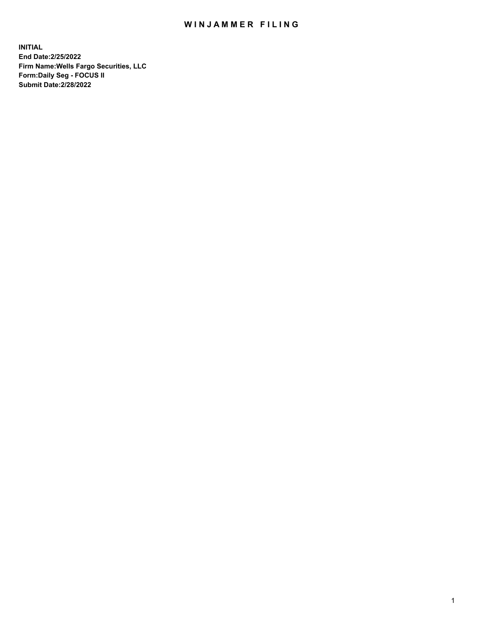## WIN JAMMER FILING

**INITIAL End Date:2/25/2022 Firm Name:Wells Fargo Securities, LLC Form:Daily Seg - FOCUS II Submit Date:2/28/2022**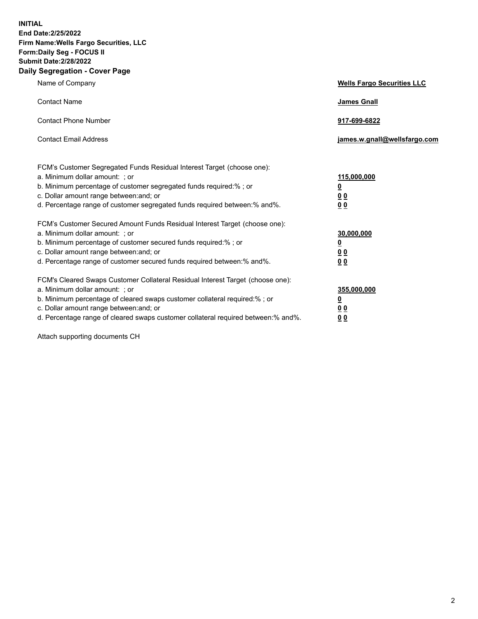**INITIAL End Date:2/25/2022 Firm Name:Wells Fargo Securities, LLC Form:Daily Seg - FOCUS II Submit Date:2/28/2022 Daily Segregation - Cover Page**

| Name of Company                                                                                                                                                                                                                                                                                                                | <b>Wells Fargo Securities LLC</b>                          |
|--------------------------------------------------------------------------------------------------------------------------------------------------------------------------------------------------------------------------------------------------------------------------------------------------------------------------------|------------------------------------------------------------|
| <b>Contact Name</b>                                                                                                                                                                                                                                                                                                            | <b>James Gnall</b>                                         |
| <b>Contact Phone Number</b>                                                                                                                                                                                                                                                                                                    | 917-699-6822                                               |
| <b>Contact Email Address</b>                                                                                                                                                                                                                                                                                                   | james.w.gnall@wellsfargo.com                               |
| FCM's Customer Segregated Funds Residual Interest Target (choose one):<br>a. Minimum dollar amount: ; or<br>b. Minimum percentage of customer segregated funds required:% ; or<br>c. Dollar amount range between: and; or<br>d. Percentage range of customer segregated funds required between:% and%.                         | 115,000,000<br><u>0</u><br>0 <sub>0</sub><br>00            |
| FCM's Customer Secured Amount Funds Residual Interest Target (choose one):<br>a. Minimum dollar amount: ; or<br>b. Minimum percentage of customer secured funds required:%; or<br>c. Dollar amount range between: and; or<br>d. Percentage range of customer secured funds required between:% and%.                            | 30,000,000<br><u>0</u><br>0 <sub>0</sub><br>0 <sub>0</sub> |
| FCM's Cleared Swaps Customer Collateral Residual Interest Target (choose one):<br>a. Minimum dollar amount: ; or<br>b. Minimum percentage of cleared swaps customer collateral required:% ; or<br>c. Dollar amount range between: and; or<br>d. Percentage range of cleared swaps customer collateral required between:% and%. | 355,000,000<br><u>0</u><br>00<br>00                        |

Attach supporting documents CH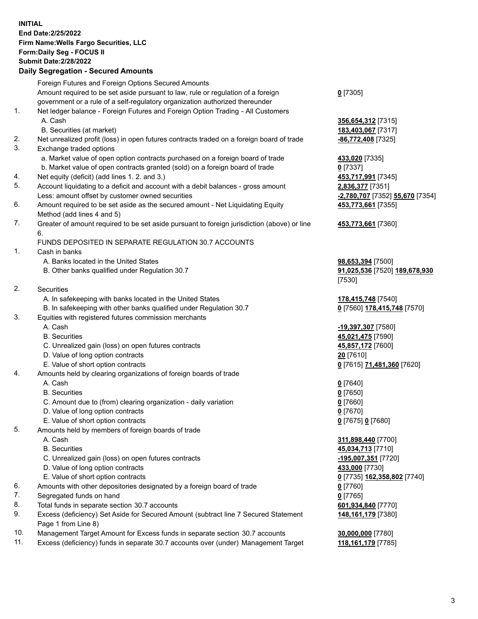**INITIAL End Date:2/25/2022 Firm Name:Wells Fargo Securities, LLC Form:Daily Seg - FOCUS II Submit Date:2/28/2022 Daily Segregation - Secured Amounts**

Foreign Futures and Foreign Options Secured Amounts Amount required to be set aside pursuant to law, rule or regulation of a foreign government or a rule of a self-regulatory organization authorized thereunder **0** [7305] 1. Net ledger balance - Foreign Futures and Foreign Option Trading - All Customers A. Cash **356,654,312** [7315] B. Securities (at market) **183,403,067** [7317] 2. Net unrealized profit (loss) in open futures contracts traded on a foreign board of trade **-86,772,408** [7325] 3. Exchange traded options a. Market value of open option contracts purchased on a foreign board of trade **433,020** [7335] b. Market value of open contracts granted (sold) on a foreign board of trade **0** [7337] 4. Net equity (deficit) (add lines 1. 2. and 3.) **453,717,991** [7345] 5. Account liquidating to a deficit and account with a debit balances - gross amount **2,836,377** [7351] Less: amount offset by customer owned securities **-2,780,707** [7352] **55,670** [7354] 6. Amount required to be set aside as the secured amount - Net Liquidating Equity Method (add lines 4 and 5) **453,773,661** [7355] 7. Greater of amount required to be set aside pursuant to foreign jurisdiction (above) or line 6. **453,773,661** [7360] FUNDS DEPOSITED IN SEPARATE REGULATION 30.7 ACCOUNTS 1. Cash in banks A. Banks located in the United States **98,653,394** [7500] B. Other banks qualified under Regulation 30.7 **91,025,536** [7520] **189,678,930** [7530] 2. Securities A. In safekeeping with banks located in the United States **178,415,748** [7540] B. In safekeeping with other banks qualified under Regulation 30.7 **0** [7560] **178,415,748** [7570] 3. Equities with registered futures commission merchants A. Cash **-19,397,307** [7580] B. Securities **45,021,475** [7590] C. Unrealized gain (loss) on open futures contracts **45,857,172** [7600] D. Value of long option contracts **20** [7610] E. Value of short option contracts **0** [7615] **71,481,360** [7620] 4. Amounts held by clearing organizations of foreign boards of trade A. Cash **0** [7640] B. Securities **0** [7650] C. Amount due to (from) clearing organization - daily variation **0** [7660] D. Value of long option contracts **0** [7670] E. Value of short option contracts **0** [7675] **0** [7680] 5. Amounts held by members of foreign boards of trade A. Cash **311,898,440** [7700] B. Securities **45,034,713** [7710] C. Unrealized gain (loss) on open futures contracts **-195,007,351** [7720] D. Value of long option contracts **433,000** [7730] E. Value of short option contracts **0** [7735] **162,358,802** [7740] 6. Amounts with other depositories designated by a foreign board of trade **0** [7760] 7. Segregated funds on hand **0** [7765] 8. Total funds in separate section 30.7 accounts **601,934,840** [7770] 9. Excess (deficiency) Set Aside for Secured Amount (subtract line 7 Secured Statement Page 1 from Line 8) **148,161,179** [7380] 10. Management Target Amount for Excess funds in separate section 30.7 accounts **30,000,000** [7780]

11. Excess (deficiency) funds in separate 30.7 accounts over (under) Management Target **118,161,179** [7785]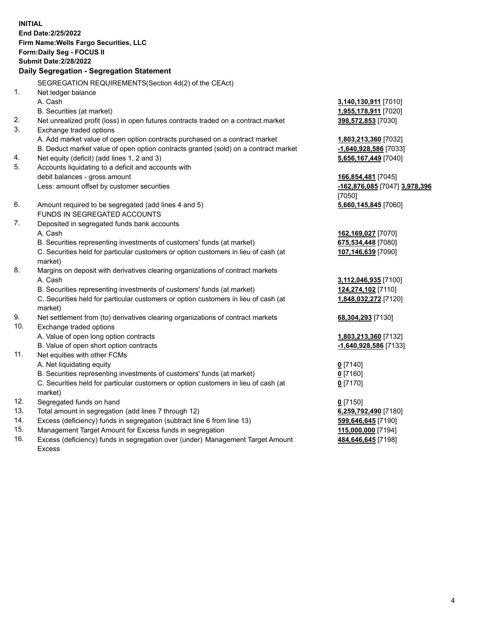**INITIAL End Date:2/25/2022 Firm Name:Wells Fargo Securities, LLC Form:Daily Seg - FOCUS II Submit Date:2/28/2022 Daily Segregation - Segregation Statement** SEGREGATION REQUIREMENTS(Section 4d(2) of the CEAct) 1. Net ledger balance A. Cash **3,140,130,911** [7010] B. Securities (at market) **1,955,178,911** [7020] 2. Net unrealized profit (loss) in open futures contracts traded on a contract market **398,572,853** [7030] 3. Exchange traded options A. Add market value of open option contracts purchased on a contract market **1,803,213,360** [7032] B. Deduct market value of open option contracts granted (sold) on a contract market **-1,640,928,586** [7033] 4. Net equity (deficit) (add lines 1, 2 and 3) **5,656,167,449** [7040] 5. Accounts liquidating to a deficit and accounts with debit balances - gross amount **166,854,481** [7045] Less: amount offset by customer securities **-162,876,085** [7047] **3,978,396** [7050] 6. Amount required to be segregated (add lines 4 and 5) **5,660,145,845** [7060] FUNDS IN SEGREGATED ACCOUNTS 7. Deposited in segregated funds bank accounts A. Cash **162,169,027** [7070] B. Securities representing investments of customers' funds (at market) **675,534,448** [7080] C. Securities held for particular customers or option customers in lieu of cash (at market) **107,146,639** [7090] 8. Margins on deposit with derivatives clearing organizations of contract markets A. Cash **3,112,046,935** [7100] B. Securities representing investments of customers' funds (at market) **124,274,102** [7110] C. Securities held for particular customers or option customers in lieu of cash (at market) **1,848,032,272** [7120] 9. Net settlement from (to) derivatives clearing organizations of contract markets **68,304,293** [7130] 10. Exchange traded options A. Value of open long option contracts **1,803,213,360** [7132] B. Value of open short option contracts **-1,640,928,586** [7133] 11. Net equities with other FCMs A. Net liquidating equity **0** [7140] B. Securities representing investments of customers' funds (at market) **0** [7160] C. Securities held for particular customers or option customers in lieu of cash (at market) **0** [7170] 12. Segregated funds on hand **0** [7150]

- 
- 13. Total amount in segregation (add lines 7 through 12) **6,259,792,490** [7180]
- 14. Excess (deficiency) funds in segregation (subtract line 6 from line 13) **599,646,645** [7190]
- 15. Management Target Amount for Excess funds in segregation **115,000,000** [7194]
- 16. Excess (deficiency) funds in segregation over (under) Management Target Amount Excess

**484,646,645** [7198]